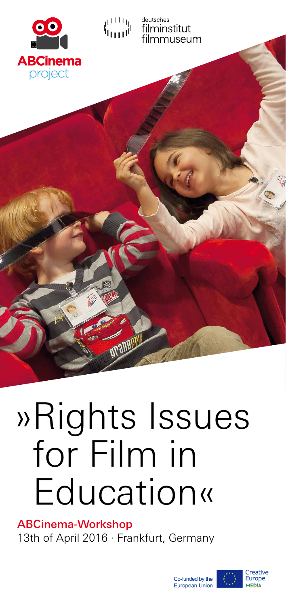



deutsches filminstitut nmuseum

# »Rights Issues for Film in Education«

ABCinema-Workshop 13th of April 2016 · Frankfurt, Germany





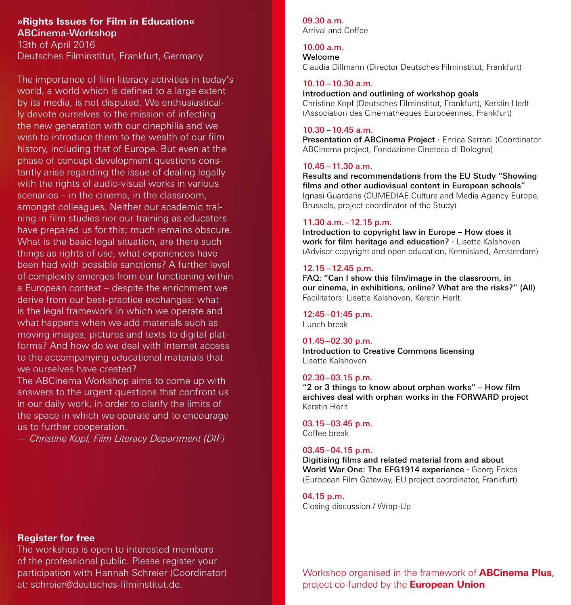**»Rights Issues for Film in Education«** ABCinema-Workshop 13th of April 2016

Deutsches Filminstitut, Frankfurt, Germany

The importance of film literacy activities in today's world, a world which is defined to a large extent by its media, is not disputed. We enthusiastically devote ourselves to the mission of infecting the new generation with our cinephilia and we wish to introduce them to the wealth of our film history, including that of Europe. But even at the phase of concept development questions constantly arise regarding the issue of dealing legally with the rights of audio-visual works in various scenarios – in the cinema, in the classroom, amongst colleagues. Neither our academic training in film studies nor our training as educators have prepared us for this; much remains obscure. What is the basic legal situation, are there such things as rights of use, what experiences have been had with possible sanctions? A further level of complexity emerges from our functioning within a European context – despite the enrichment we derive from our best-practice exchanges: what is the legal framework in which we operate and what happens when we add materials such as moving images, pictures and texts to digital platforms? And how do we deal with Internet access to the accompanying educational materials that we ourselves have created?

The ABCinema Workshop aims to come up with answers to the urgent questions that confront us in our daily work, in order to clarify the limits of the space in which we operate and to encourage us to further cooperation.

*— Christine Kopf, Film Literacy Department (DIF)*

### **Register for free**

The workshop is open to interested members of the professional public. Please register your participation with Hannah Schreier (Coordinator) at: schreier@deutsches-filminstitut.de.

#### 09.30 a.m.

Arrival and Coffee

#### 10.00 a.m.

Welcome Claudia Dillmann (Director Deutsches Filminstitut, Frankfurt)

#### 10.10 –10.30 a.m.

Introduction and outlining of workshop goals Christine Kopf (Deutsches Filminstitut, Frankfurt), Kerstin Herlt (Association des Cinémathèques Européennes, Frankfurt)

#### 10.30 –10.45 a.m.

Presentation of ABCinema Project · Enrica Serrani (Coordinator ABCinema project, Fondazione Cineteca di Bologna)

#### 10.45 –11.30 a.m.

Results and recommendations from the EU Study "Showing films and other audiovisual content in European schools" Ignasi Guardans (CUMEDIAE Culture and Media Agency Europe, Brussels, project coordinator of the Study)

#### 11.30 a.m.–12.15 p.m.

Introduction to copyright law in Europe – How does it work for film heritage and education? · Lisette Kalshoven (Advisor copyright and open education, Kennisland, Amsterdam)

#### 12.15 –12.45 p.m.

FAQ: "Can I show this film/image in the classroom, in our cinema, in exhibitions, online? What are the risks?" (All) Facilitators: Lisette Kalshoven, Kerstin Herlt

## 12:45–01:45 p.m.

Lunch break

#### 01.45–02.30 p.m.

Introduction to Creative Commons licensing Lisette Kalshoven

#### 02.30–03.15 p.m.

"2 or 3 things to know about orphan works" – How film archives deal with orphan works in the FORWARD project Kerstin Herlt

03.15–03.45 p.m. Coffee break

#### 03.45–04.15 p.m.

Digitising films and related material from and about World War One: The EFG1914 experience · Georg Eckes (European Film Gateway, EU project coordinator, Frankfurt)

#### 04.15 p.m.

Closing discussion / Wrap-Up

Workshop organised in the framework of **ABCinema Plus**, project co-funded by the **European Union**